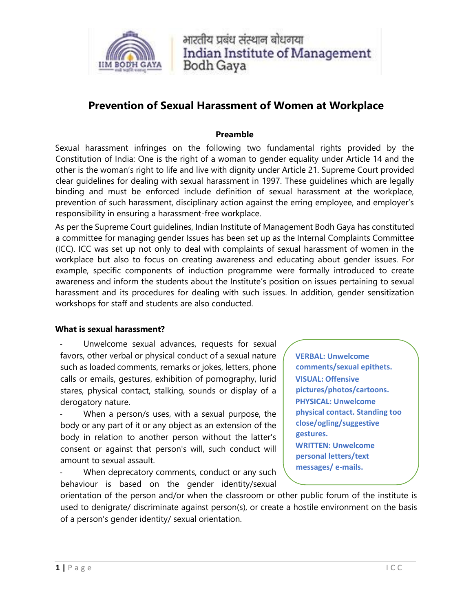

भारतीय पढंध संस्थान बोधगया **Indian Institute of Management Bodh Gaya** 

# **Prevention of Sexual Harassment of Women at Workplace**

### **Preamble**

Sexual harassment infringes on the following two fundamental rights provided by the Constitution of India: One is the right of a woman to gender equality under Article 14 and the other is the woman's right to life and live with dignity under Article 21. Supreme Court provided clear guidelines for dealing with sexual harassment in 1997. These guidelines which are legally binding and must be enforced include definition of sexual harassment at the workplace, prevention of such harassment, disciplinary action against the erring employee, and employer's responsibility in ensuring a harassment-free workplace.

As per the Supreme Court guidelines, Indian Institute of Management Bodh Gaya has constituted a committee for managing gender Issues has been set up as the Internal Complaints Committee (ICC). ICC was set up not only to deal with complaints of sexual harassment of women in the workplace but also to focus on creating awareness and educating about gender issues. For example, specific components of induction programme were formally introduced to create awareness and inform the students about the Institute's position on issues pertaining to sexual harassment and its procedures for dealing with such issues. In addition, gender sensitization workshops for staff and students are also conducted.

#### **What is sexual harassment?**

Unwelcome sexual advances, requests for sexual favors, other verbal or physical conduct of a sexual nature such as loaded comments, remarks or jokes, letters, phone calls or emails, gestures, exhibition of pornography, lurid stares, physical contact, stalking, sounds or display of a derogatory nature.

When a person/s uses, with a sexual purpose, the body or any part of it or any object as an extension of the body in relation to another person without the latter's consent or against that person's will, such conduct will amount to sexual assault.

When deprecatory comments, conduct or any such behaviour is based on the gender identity/sexual

**VERBAL: Unwelcome comments/sexual epithets. VISUAL: Offensive pictures/photos/cartoons. PHYSICAL: Unwelcome physical contact. Standing too close/ogling/suggestive gestures. WRITTEN: Unwelcome personal letters/text messages/ e-mails.**

orientation of the person and/or when the classroom or other public forum of the institute is used to denigrate/ discriminate against person(s), or create a hostile environment on the basis of a person's gender identity/ sexual orientation.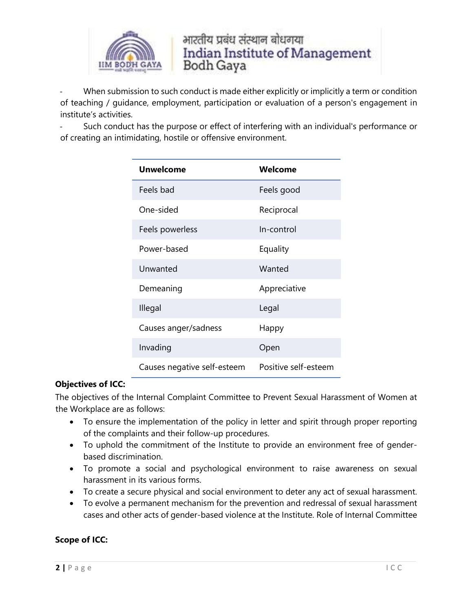

भारतीय प्रबंध संस्थान बोधगया **Indian Institute of Management** Bodh Gaya

When submission to such conduct is made either explicitly or implicitly a term or condition of teaching / guidance, employment, participation or evaluation of a person's engagement in institute's activities.

Such conduct has the purpose or effect of interfering with an individual's performance or of creating an intimidating, hostile or offensive environment.

| <b>Unwelcome</b>            | Welcome              |
|-----------------------------|----------------------|
| Feels bad                   | Feels good           |
| One-sided                   | Reciprocal           |
| Feels powerless             | In-control           |
| Power-based                 | Equality             |
| Unwanted                    | Wanted               |
| Demeaning                   | Appreciative         |
| Illegal                     | Legal                |
| Causes anger/sadness        | Happy                |
| Invading                    | Open                 |
| Causes negative self-esteem | Positive self-esteem |

# **Objectives of ICC:**

The objectives of the Internal Complaint Committee to Prevent Sexual Harassment of Women at the Workplace are as follows:

- To ensure the implementation of the policy in letter and spirit through proper reporting of the complaints and their follow-up procedures.
- To uphold the commitment of the Institute to provide an environment free of genderbased discrimination.
- To promote a social and psychological environment to raise awareness on sexual harassment in its various forms.
- To create a secure physical and social environment to deter any act of sexual harassment.
- To evolve a permanent mechanism for the prevention and redressal of sexual harassment cases and other acts of gender-based violence at the Institute. Role of Internal Committee

# **Scope of ICC:**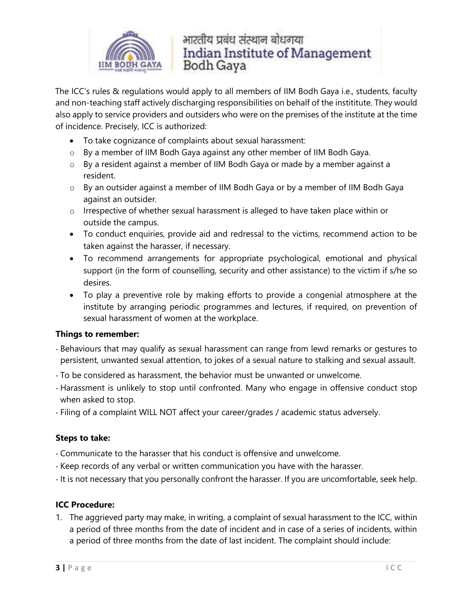

भारतीय प्रबंध संस्थान बोधगया **Indian Institute of Management** Bodh Gaya

The ICC's rules & regulations would apply to all members of IIM Bodh Gaya i.e., students, faculty and non-teaching staff actively discharging responsibilities on behalf of the instititute. They would also apply to service providers and outsiders who were on the premises of the institute at the time of incidence. Precisely, ICC is authorized:

- To take cognizance of complaints about sexual harassment:
- o By a member of IIM Bodh Gaya against any other member of IIM Bodh Gaya.
- o By a resident against a member of IIM Bodh Gaya or made by a member against a resident.
- o By an outsider against a member of IIM Bodh Gaya or by a member of IIM Bodh Gaya against an outsider.
- o Irrespective of whether sexual harassment is alleged to have taken place within or outside the campus.
- To conduct enquiries, provide aid and redressal to the victims, recommend action to be taken against the harasser, if necessary.
- To recommend arrangements for appropriate psychological, emotional and physical support (in the form of counselling, security and other assistance) to the victim if s/he so desires.
- To play a preventive role by making efforts to provide a congenial atmosphere at the institute by arranging periodic programmes and lectures, if required, on prevention of sexual harassment of women at the workplace.

# **Things to remember:**

- Behaviours that may qualify as sexual harassment can range from lewd remarks or gestures to persistent, unwanted sexual attention, to jokes of a sexual nature to stalking and sexual assault.
- To be considered as harassment, the behavior must be unwanted or unwelcome.
- Harassment is unlikely to stop until confronted. Many who engage in offensive conduct stop when asked to stop.
- Filing of a complaint WILL NOT affect your career/grades / academic status adversely.

# **Steps to take:**

- Communicate to the harasser that his conduct is offensive and unwelcome.
- Keep records of any verbal or written communication you have with the harasser.
- It is not necessary that you personally confront the harasser. If you are uncomfortable, seek help.

# **ICC Procedure:**

1. The aggrieved party may make, in writing, a complaint of sexual harassment to the ICC, within a period of three months from the date of incident and in case of a series of incidents, within a period of three months from the date of last incident. The complaint should include: